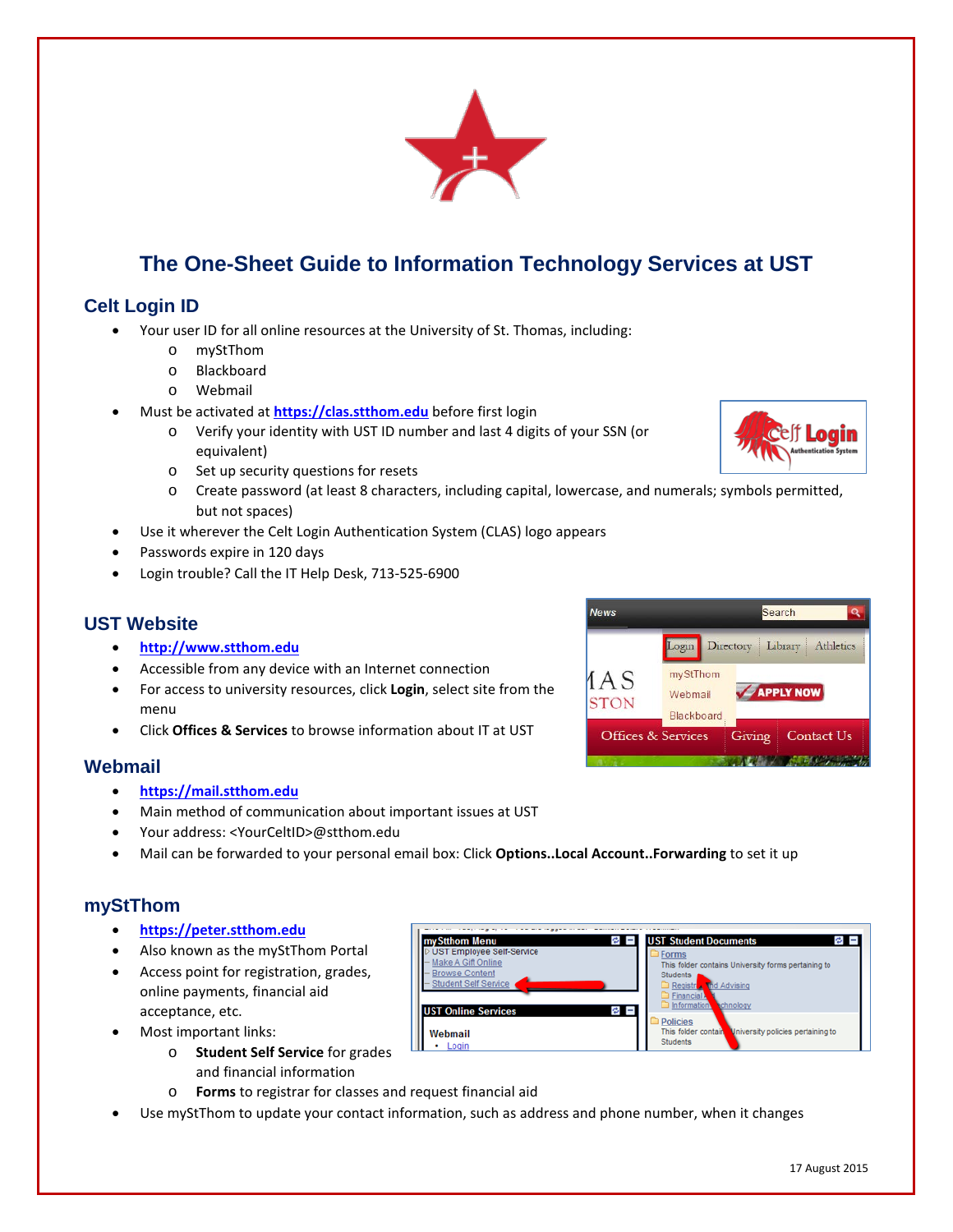

# **The One-Sheet Guide to Information Technology Services at UST**

# **Celt Login ID**

- Your user ID for all online resources at the University of St. Thomas, including:
	- o myStThom
	- o Blackboard
	- o Webmail
- Must be activated at **[https://clas.stthom.edu](https://clas.stthom.edu/)** before first login
	- o Verify your identity with UST ID number and last 4 digits of your SSN (or equivalent)
	- o Set up security questions for resets
	- o Create password (at least 8 characters, including capital, lowercase, and numerals; symbols permitted, but not spaces)
- Use it wherever the Celt Login Authentication System (CLAS) logo appears
- Passwords expire in 120 days
- Login trouble? Call the IT Help Desk, 713-525-6900

# **UST Website**

- **[http://www.stthom.edu](http://www.stthom.edu/)**
- Accessible from any device with an Internet connection
- For access to university resources, click **Login**, select site from the menu
- Click **Offices & Services** to browse information about IT at UST

#### **Webmail**

- **[https://mail.stthom.edu](https://mail.stthom.edu/)**
- Main method of communication about important issues at UST
- Your address: <YourCeltID>@stthom.edu
- Mail can be forwarded to your personal email box: Click **Options..Local Account..Forwarding** to set it up

## **myStThom**

- **[https://peter.stthom.edu](https://peter.stthom.edu/)**
- Also known as the myStThom Portal
- Access point for registration, grades, online payments, financial aid acceptance, etc.
- Most important links:
	- o **Student Self Service** for grades and financial information
	- o **Forms** to registrar for classes and request financial aid
- Use myStThom to update your contact information, such as address and phone number, when it changes